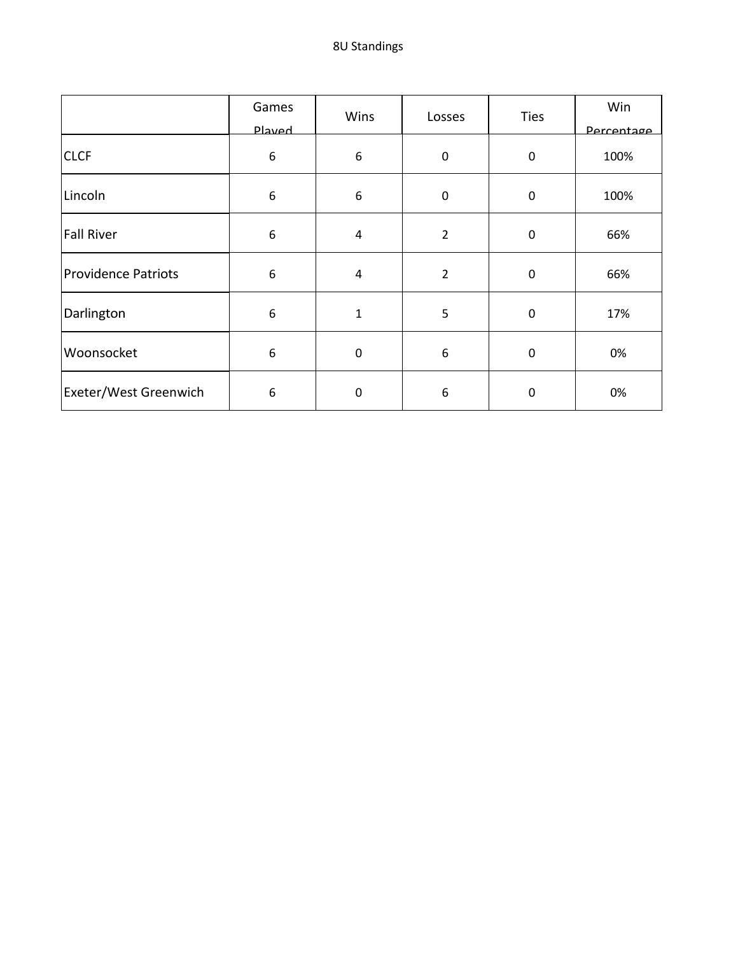|                            | Games<br>Played  | Wins           | Losses         | <b>Ties</b> | Win<br>Percentage |
|----------------------------|------------------|----------------|----------------|-------------|-------------------|
| <b>CLCF</b>                | $\boldsymbol{6}$ | 6              | $\mathbf 0$    | $\mathbf 0$ | 100%              |
| Lincoln                    | 6                | 6              | $\pmb{0}$      | $\pmb{0}$   | 100%              |
| <b>Fall River</b>          | $\boldsymbol{6}$ | $\overline{4}$ | $\overline{2}$ | $\pmb{0}$   | 66%               |
| <b>Providence Patriots</b> | $\boldsymbol{6}$ | 4              | $\overline{2}$ | $\mathbf 0$ | 66%               |
| Darlington                 | 6                | $\mathbf 1$    | 5              | $\pmb{0}$   | 17%               |
| Woonsocket                 | 6                | $\mathbf 0$    | 6              | $\pmb{0}$   | 0%                |
| Exeter/West Greenwich      | 6                | 0              | 6              | 0           | 0%                |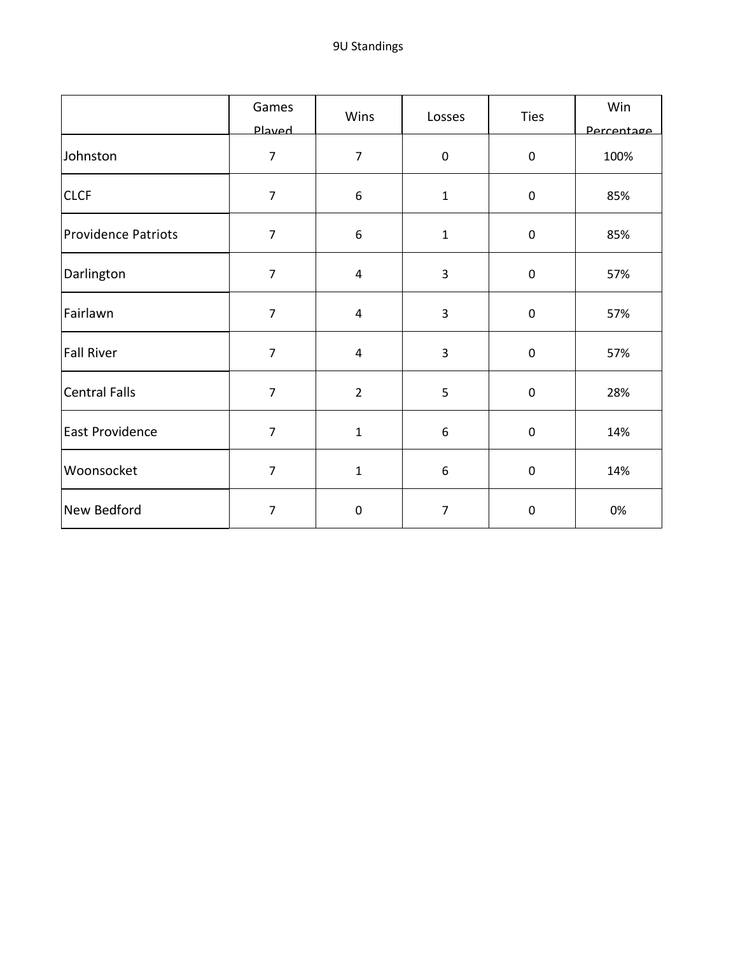|                            | Games          | Wins           | Losses         | <b>Ties</b>      | Win        |
|----------------------------|----------------|----------------|----------------|------------------|------------|
|                            | <b>Played</b>  |                |                |                  | Percentage |
| Johnston                   | $\overline{7}$ | $\overline{7}$ | 0              | $\pmb{0}$        | 100%       |
| <b>CLCF</b>                | $\overline{7}$ | 6              | $\mathbf{1}$   | $\pmb{0}$        | 85%        |
| <b>Providence Patriots</b> | $\overline{7}$ | 6              | $\mathbf{1}$   | $\pmb{0}$        | 85%        |
| Darlington                 | $\overline{7}$ | $\overline{4}$ | $\overline{3}$ | $\pmb{0}$        | 57%        |
| Fairlawn                   | $\overline{7}$ | 4              | 3              | $\mathsf 0$      | 57%        |
| <b>Fall River</b>          | $\overline{7}$ | 4              | 3              | $\pmb{0}$        | 57%        |
| <b>Central Falls</b>       | $\overline{7}$ | $\overline{2}$ | 5              | $\pmb{0}$        | 28%        |
| East Providence            | $\overline{7}$ | $\mathbf 1$    | 6              | $\pmb{0}$        | 14%        |
| Woonsocket                 | $\overline{7}$ | $\mathbf{1}$   | 6              | $\pmb{0}$        | 14%        |
| New Bedford                | $\overline{7}$ | 0              | $\overline{7}$ | $\boldsymbol{0}$ | 0%         |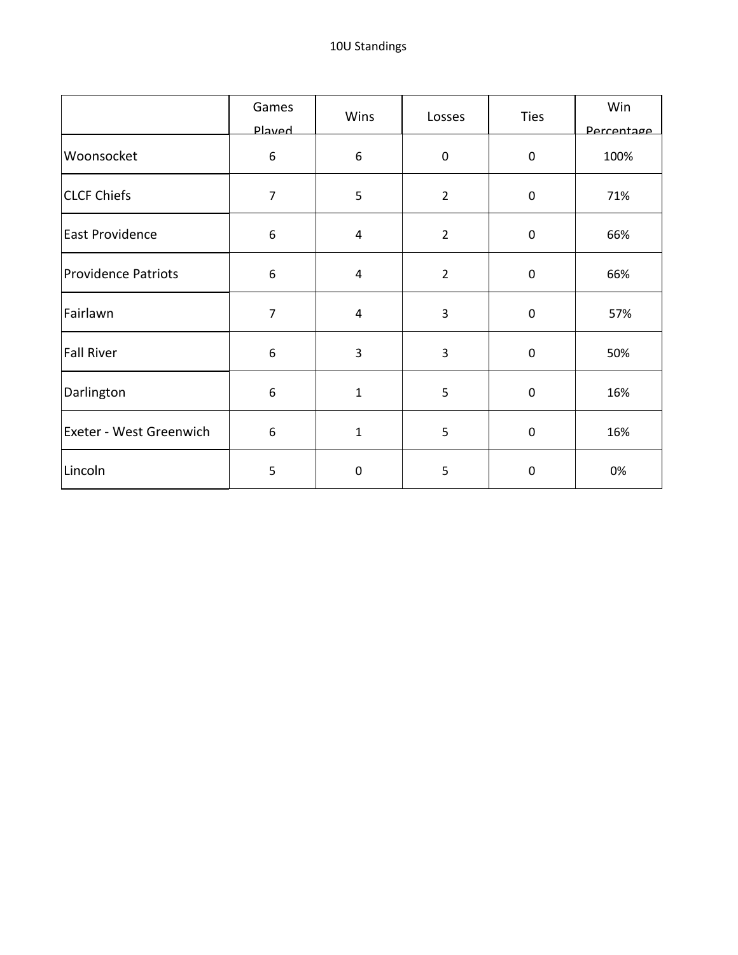|                            | Games<br><b>Played</b> | Wins         | Losses         | <b>Ties</b> | Win<br>Percentage |
|----------------------------|------------------------|--------------|----------------|-------------|-------------------|
| Woonsocket                 | $\boldsymbol{6}$       | 6            | $\mathbf 0$    | $\mathbf 0$ | 100%              |
| <b>CLCF Chiefs</b>         | $\overline{7}$         | 5            | $\overline{2}$ | $\pmb{0}$   | 71%               |
| <b>East Providence</b>     | 6                      | 4            | $\overline{2}$ | $\mathbf 0$ | 66%               |
| <b>Providence Patriots</b> | $\boldsymbol{6}$       | 4            | $\overline{2}$ | $\pmb{0}$   | 66%               |
| Fairlawn                   | $\overline{7}$         | 4            | 3              | $\pmb{0}$   | 57%               |
| <b>Fall River</b>          | 6                      | 3            | 3              | $\pmb{0}$   | 50%               |
| Darlington                 | $\boldsymbol{6}$       | $\mathbf{1}$ | 5              | $\mathbf 0$ | 16%               |
| Exeter - West Greenwich    | $\boldsymbol{6}$       | 1            | 5              | $\pmb{0}$   | 16%               |
| Lincoln                    | 5                      | 0            | 5              | $\pmb{0}$   | 0%                |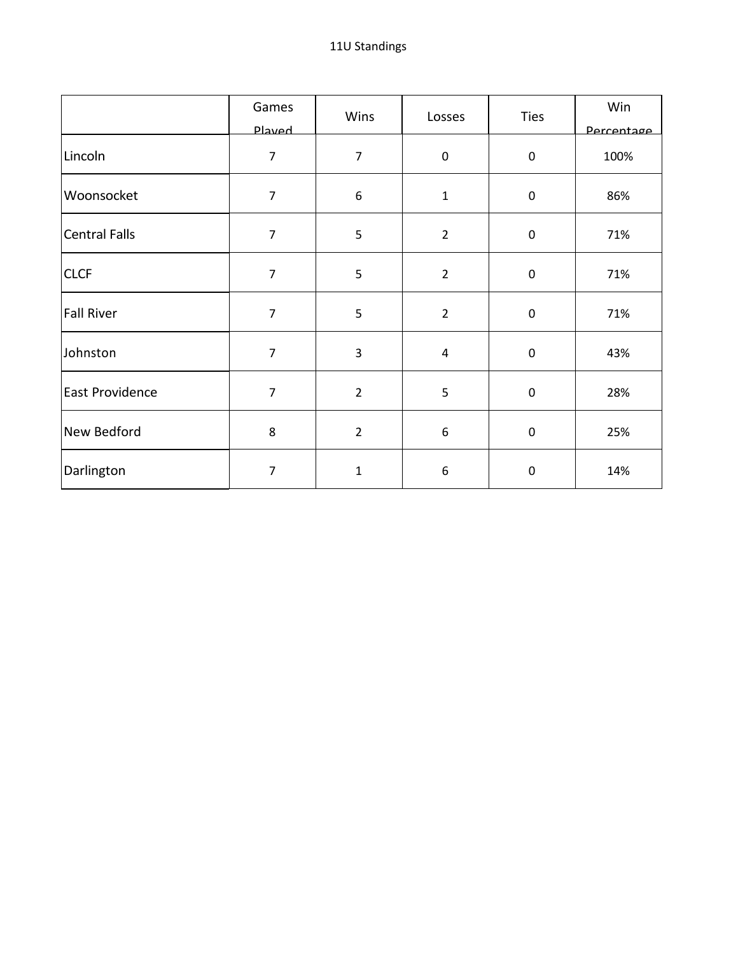|                      | Games<br><b>Played</b> | Wins           | Losses              | <b>Ties</b> | Win<br>Percentage |
|----------------------|------------------------|----------------|---------------------|-------------|-------------------|
| Lincoln              | $\overline{7}$         | $\overline{7}$ | $\mathsf{O}\xspace$ | $\mathsf 0$ | 100%              |
| Woonsocket           | $\overline{7}$         | 6              | $\mathbf{1}$        | $\pmb{0}$   | 86%               |
| <b>Central Falls</b> | $\overline{7}$         | 5              | $\overline{2}$      | $\mathbf 0$ | 71%               |
| <b>CLCF</b>          | $\overline{7}$         | 5              | $\overline{2}$      | $\pmb{0}$   | 71%               |
| <b>Fall River</b>    | $\overline{7}$         | 5              | $\overline{2}$      | $\pmb{0}$   | 71%               |
| Johnston             | $\overline{7}$         | 3              | $\overline{4}$      | $\pmb{0}$   | 43%               |
| East Providence      | $\overline{7}$         | $\overline{2}$ | 5                   | $\mathbf 0$ | 28%               |
| New Bedford          | 8                      | $\overline{2}$ | 6                   | $\pmb{0}$   | 25%               |
| Darlington           | $\overline{7}$         | $\mathbf 1$    | 6                   | $\pmb{0}$   | 14%               |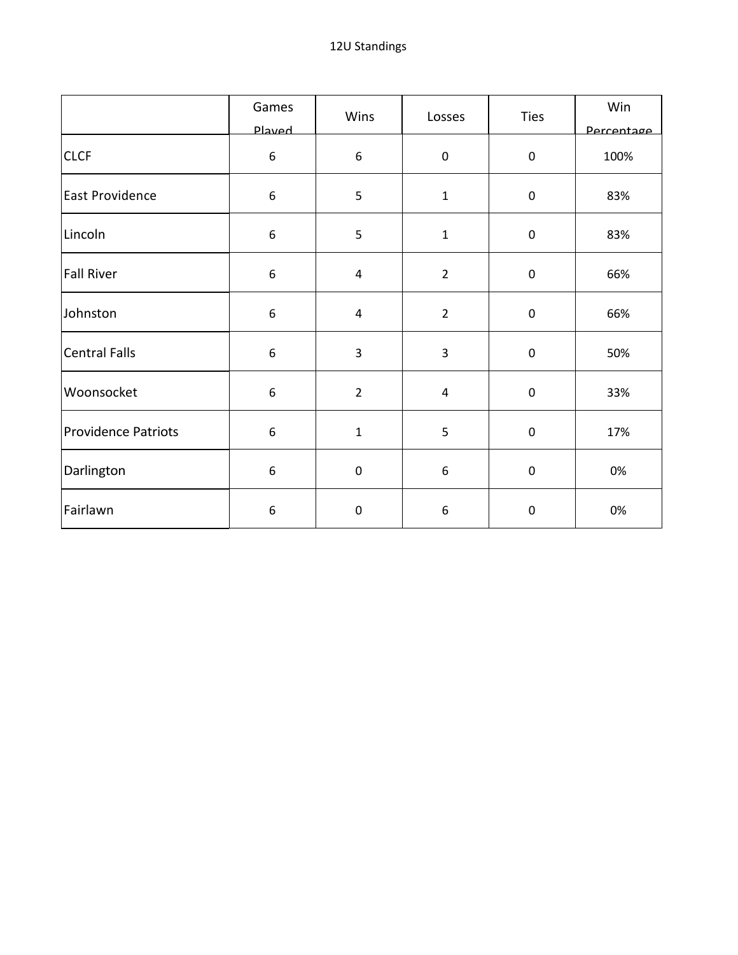|                            | Games            | Wins                    | Losses         | <b>Ties</b> | Win        |
|----------------------------|------------------|-------------------------|----------------|-------------|------------|
|                            | Played           |                         |                |             | Percentage |
| <b>CLCF</b>                | $\boldsymbol{6}$ | 6                       | 0              | $\pmb{0}$   | 100%       |
| East Providence            | $\boldsymbol{6}$ | 5                       | $\mathbf 1$    | $\pmb{0}$   | 83%        |
| Lincoln                    | $\boldsymbol{6}$ | 5                       | $\mathbf{1}$   | $\mathsf 0$ | 83%        |
| <b>Fall River</b>          | $\boldsymbol{6}$ | $\overline{\mathbf{4}}$ | $\overline{2}$ | $\pmb{0}$   | 66%        |
| Johnston                   | $\boldsymbol{6}$ | 4                       | $\overline{2}$ | $\mathsf 0$ | 66%        |
| <b>Central Falls</b>       | $\boldsymbol{6}$ | 3                       | 3              | $\pmb{0}$   | 50%        |
| Woonsocket                 | $\boldsymbol{6}$ | $\overline{2}$          | 4              | $\pmb{0}$   | 33%        |
| <b>Providence Patriots</b> | $\boldsymbol{6}$ | $\mathbf 1$             | 5              | $\pmb{0}$   | 17%        |
| Darlington                 | 6                | $\pmb{0}$               | 6              | $\pmb{0}$   | 0%         |
| Fairlawn                   | $\boldsymbol{6}$ | $\pmb{0}$               | 6              | $\pmb{0}$   | 0%         |